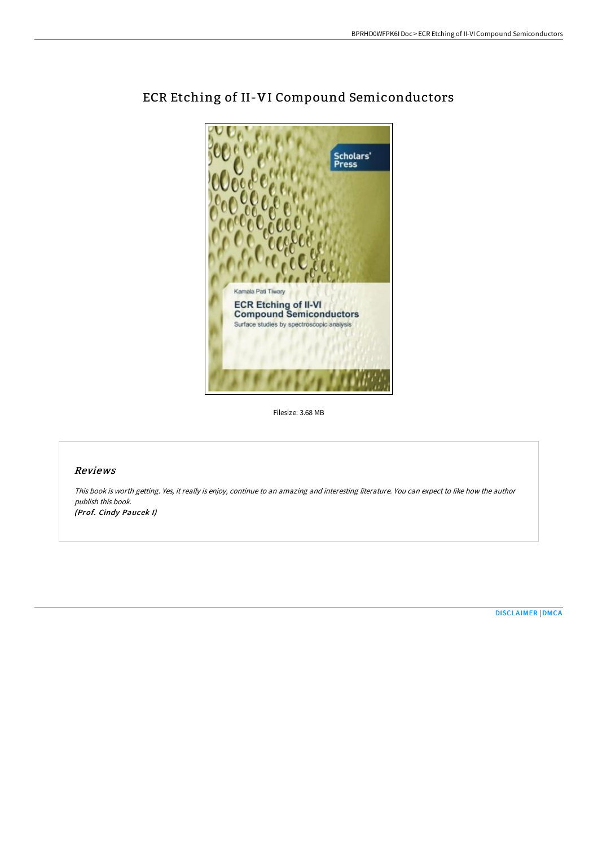

## ECR Etching of II-VI Compound Semiconductors

Filesize: 3.68 MB

## Reviews

This book is worth getting. Yes, it really is enjoy, continue to an amazing and interesting literature. You can expect to like how the author publish this book. (Prof. Cindy Paucek I)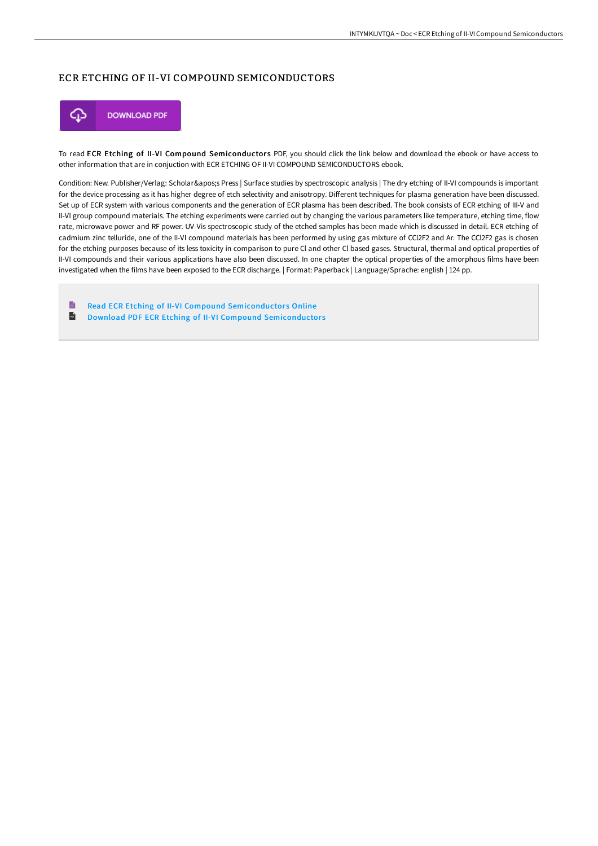## ECR ETCHING OF II-VI COMPOUND SEMICONDUCTORS



To read ECR Etching of II-VI Compound Semiconductors PDF, you should click the link below and download the ebook or have access to other information that are in conjuction with ECR ETCHING OF II-VI COMPOUND SEMICONDUCTORS ebook.

Condition: New. Publisher/Verlag: Scholar&apos:s Press | Surface studies by spectroscopic analysis | The dry etching of II-VI compounds is important for the device processing as it has higher degree of etch selectivity and anisotropy. Different techniques for plasma generation have been discussed. Set up of ECR system with various components and the generation of ECR plasma has been described. The book consists of ECR etching of III-V and II-VI group compound materials. The etching experiments were carried out by changing the various parameters like temperature, etching time, flow rate, microwave power and RF power. UV-Vis spectroscopic study of the etched samples has been made which is discussed in detail. ECR etching of cadmium zinc telluride, one of the II-VI compound materials has been performed by using gas mixture of CCl2F2 and Ar. The CCl2F2 gas is chosen for the etching purposes because of its less toxicity in comparison to pure Cl and other Cl based gases. Structural, thermal and optical properties of II-VI compounds and their various applications have also been discussed. In one chapter the optical properties of the amorphous films have been investigated when the films have been exposed to the ECR discharge. | Format: Paperback | Language/Sprache: english | 124 pp.

 $\blacksquare$ Read ECR Etching of II-VI Compound [Semiconductor](http://digilib.live/ecr-etching-of-ii-vi-compound-semiconductors.html)s Online  $\overline{\mathbf{m}}$ Download PDF ECR Etching of II-VI Compound [Semiconductor](http://digilib.live/ecr-etching-of-ii-vi-compound-semiconductors.html)s